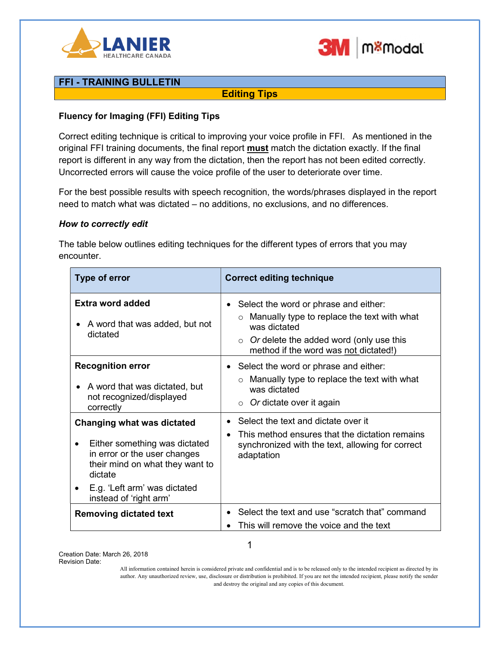



# FFI - TRAINING BULLETIN

Editing Tips

### Fluency for Imaging (FFI) Editing Tips

Correct editing technique is critical to improving your voice profile in FFI. As mentioned in the original FFI training documents, the final report **must** match the dictation exactly. If the final report is different in any way from the dictation, then the report has not been edited correctly. Uncorrected errors will cause the voice profile of the user to deteriorate over time.

For the best possible results with speech recognition, the words/phrases displayed in the report need to match what was dictated – no additions, no exclusions, and no differences.

### How to correctly edit

The table below outlines editing techniques for the different types of errors that you may encounter.

| Type of error                                                                                                                                                                                              | <b>Correct editing technique</b>                                                                                                                                                                                 |
|------------------------------------------------------------------------------------------------------------------------------------------------------------------------------------------------------------|------------------------------------------------------------------------------------------------------------------------------------------------------------------------------------------------------------------|
| Extra word added<br>A word that was added, but not<br>dictated                                                                                                                                             | Select the word or phrase and either:<br>$\bullet$<br>Manually type to replace the text with what<br>was dictated<br>Or delete the added word (only use this<br>$\circ$<br>method if the word was not dictated!) |
| <b>Recognition error</b><br>A word that was dictated, but<br>not recognized/displayed<br>correctly                                                                                                         | Select the word or phrase and either:<br>$\bullet$<br>Manually type to replace the text with what<br>was dictated<br>Or dictate over it again<br>$\circ$                                                         |
| <b>Changing what was dictated</b><br>Either something was dictated<br>in error or the user changes<br>their mind on what they want to<br>dictate<br>E.g. 'Left arm' was dictated<br>instead of 'right arm' | Select the text and dictate over it<br>This method ensures that the dictation remains<br>synchronized with the text, allowing for correct<br>adaptation                                                          |
| <b>Removing dictated text</b>                                                                                                                                                                              | Select the text and use "scratch that" command<br>This will remove the voice and the text                                                                                                                        |

Creation Date: March 26, 2018 Revision Date:

All information contained herein is considered private and confidential and is to be released only to the intended recipient as directed by its author. Any unauthorized review, use, disclosure or distribution is prohibited. If you are not the intended recipient, please notify the sender and destroy the original and any copies of this document.

1